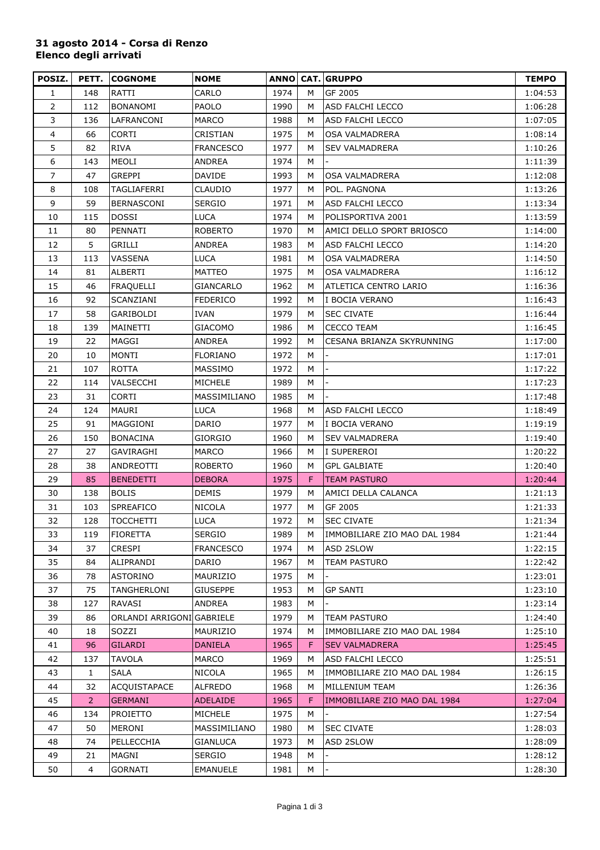## **31 agosto 2014 - Corsa di Renzo Elenco degli arrivati**

| POSIZ.         | PETT.          | <b>COGNOME</b>            | <b>NOME</b>      |      |    | <b>ANNO CAT. GRUPPO</b>      | <b>TEMPO</b> |
|----------------|----------------|---------------------------|------------------|------|----|------------------------------|--------------|
| $\mathbf{1}$   | 148            | RATTI                     | CARLO            | 1974 | м  | GF 2005                      | 1:04:53      |
| $\overline{2}$ | 112            | <b>BONANOMI</b>           | PAOLO            | 1990 | M  | ASD FALCHI LECCO             | 1:06:28      |
| 3              | 136            | LAFRANCONI                | MARCO            | 1988 | м  | ASD FALCHI LECCO             | 1:07:05      |
| 4              | 66             | CORTI                     | CRISTIAN         | 1975 | м  | OSA VALMADRERA               | 1:08:14      |
| 5              | 82             | <b>RIVA</b>               | <b>FRANCESCO</b> | 1977 | M  | <b>SEV VALMADRERA</b>        | 1:10:26      |
| 6              | 143            | <b>MEOLI</b>              | ANDREA           | 1974 | M  |                              | 1:11:39      |
| 7              | 47             | GREPPI                    | <b>DAVIDE</b>    | 1993 | м  | OSA VALMADRERA               | 1:12:08      |
| 8              | 108            | TAGLIAFERRI               | CLAUDIO          | 1977 | M  | POL. PAGNONA                 | 1:13:26      |
| 9              | 59             | BERNASCONI                | <b>SERGIO</b>    | 1971 | м  | ASD FALCHI LECCO             | 1:13:34      |
| 10             | 115            | <b>DOSSI</b>              | LUCA             | 1974 | M  | POLISPORTIVA 2001            | 1:13:59      |
| 11             | 80             | PENNATI                   | <b>ROBERTO</b>   | 1970 | м  | AMICI DELLO SPORT BRIOSCO    | 1:14:00      |
| 12             | 5              | GRILLI                    | <b>ANDREA</b>    | 1983 | M  | ASD FALCHI LECCO             | 1:14:20      |
| 13             | 113            | <b>VASSENA</b>            | <b>LUCA</b>      | 1981 | M  | OSA VALMADRERA               | 1:14:50      |
| 14             | 81             | <b>ALBERTI</b>            | MATTEO           | 1975 | м  | <b>OSA VALMADRERA</b>        | 1:16:12      |
| 15             | 46             | <b>FRAQUELLI</b>          | GIANCARLO        | 1962 | м  | ATLETICA CENTRO LARIO        | 1:16:36      |
| 16             | 92             | SCANZIANI                 | <b>FEDERICO</b>  | 1992 | M  | I BOCIA VERANO               | 1:16:43      |
| 17             | 58             | GARIBOLDI                 | <b>IVAN</b>      | 1979 | м  | <b>SEC CIVATE</b>            | 1:16:44      |
| 18             | 139            | MAINETTI                  | GIACOMO          | 1986 | м  | <b>CECCO TEAM</b>            | 1:16:45      |
| 19             | 22             | MAGGI                     | ANDREA           | 1992 | M  | CESANA BRIANZA SKYRUNNING    | 1:17:00      |
| 20             | 10             | MONTI                     | <b>FLORIANO</b>  | 1972 | M  |                              | 1:17:01      |
| 21             | 107            | <b>ROTTA</b>              | MASSIMO          | 1972 | м  |                              | 1:17:22      |
| 22             | 114            | VALSECCHI                 | MICHELE          | 1989 | M  |                              | 1:17:23      |
| 23             | 31             | <b>CORTI</b>              | MASSIMILIANO     | 1985 | M  |                              | 1:17:48      |
| 24             | 124            | <b>MAURI</b>              | <b>LUCA</b>      | 1968 | м  | ASD FALCHI LECCO             | 1:18:49      |
| 25             | 91             | MAGGIONI                  | DARIO            | 1977 | м  | I BOCIA VERANO               | 1:19:19      |
| 26             | 150            | <b>BONACINA</b>           | GIORGIO          | 1960 | м  | <b>SEV VALMADRERA</b>        | 1:19:40      |
| 27             | 27             | GAVIRAGHI                 | <b>MARCO</b>     | 1966 | M  | I SUPEREROI                  | 1:20:22      |
| 28             | 38             | ANDREOTTI                 | ROBERTO          | 1960 | м  | <b>GPL GALBIATE</b>          | 1:20:40      |
| 29             | 85             | <b>BENEDETTI</b>          | <b>DEBORA</b>    | 1975 | F. | <b>TEAM PASTURO</b>          | 1:20:44      |
| 30             | 138            | <b>BOLIS</b>              | DEMIS            | 1979 | м  | AMICI DELLA CALANCA          | 1:21:13      |
| 31             | 103            | <b>SPREAFICO</b>          | <b>NICOLA</b>    | 1977 | M  | GF 2005                      | 1:21:33      |
| 32             | 128            | <b>TOCCHETTI</b>          | <b>LUCA</b>      | 1972 | м  | <b>SEC CIVATE</b>            | 1:21:34      |
| 33             | 119            | <b>FIORETTA</b>           | <b>SERGIO</b>    | 1989 | м  | IMMOBILIARE ZIO MAO DAL 1984 | 1:21:44      |
| 34             | 37             | <b>CRESPI</b>             | <b>FRANCESCO</b> | 1974 | м  | ASD 2SLOW                    | 1:22:15      |
| 35             | 84             | ALIPRANDI                 | DARIO            | 1967 | м  | TEAM PASTURO                 | 1:22:42      |
| 36             | 78             | <b>ASTORINO</b>           | MAURIZIO         | 1975 | M  |                              | 1:23:01      |
| 37             | 75             | TANGHERLONI               | <b>GIUSEPPE</b>  | 1953 | м  | <b>GP SANTI</b>              | 1:23:10      |
| 38             | 127            | RAVASI                    | ANDREA           | 1983 | м  |                              | 1:23:14      |
| 39             | 86             | ORLANDI ARRIGONI GABRIELE |                  | 1979 | M  | <b>TEAM PASTURO</b>          | 1:24:40      |
| 40             | 18             | SOZZI                     | MAURIZIO         | 1974 | M  | IMMOBILIARE ZIO MAO DAL 1984 | 1:25:10      |
| 41             | 96             | <b>GILARDI</b>            | <b>DANIELA</b>   | 1965 | F. | <b>SEV VALMADRERA</b>        | 1:25:45      |
| 42             | 137            | <b>TAVOLA</b>             | <b>MARCO</b>     | 1969 | м  | ASD FALCHI LECCO             | 1:25:51      |
| 43             | 1              | <b>SALA</b>               | <b>NICOLA</b>    | 1965 | M  | IMMOBILIARE ZIO MAO DAL 1984 | 1:26:15      |
| 44             | 32             | <b>ACQUISTAPACE</b>       | ALFREDO          | 1968 | M  | MILLENIUM TEAM               | 1:26:36      |
| 45             | 2 <sup>1</sup> | <b>GERMANI</b>            | <b>ADELAIDE</b>  | 1965 | F. | IMMOBILIARE ZIO MAO DAL 1984 | 1:27:04      |
| 46             | 134            | <b>PROIETTO</b>           | MICHELE          | 1975 | м  |                              | 1:27:54      |
| 47             | 50             | <b>MERONI</b>             | MASSIMILIANO     | 1980 | м  | <b>SEC CIVATE</b>            | 1:28:03      |
| 48             | 74             | PELLECCHIA                | <b>GIANLUCA</b>  | 1973 | м  | ASD 2SLOW                    | 1:28:09      |
| 49             | 21             | MAGNI                     | SERGIO           | 1948 | м  |                              | 1:28:12      |
| 50             | 4              | GORNATI                   | EMANUELE         | 1981 | м  |                              | 1:28:30      |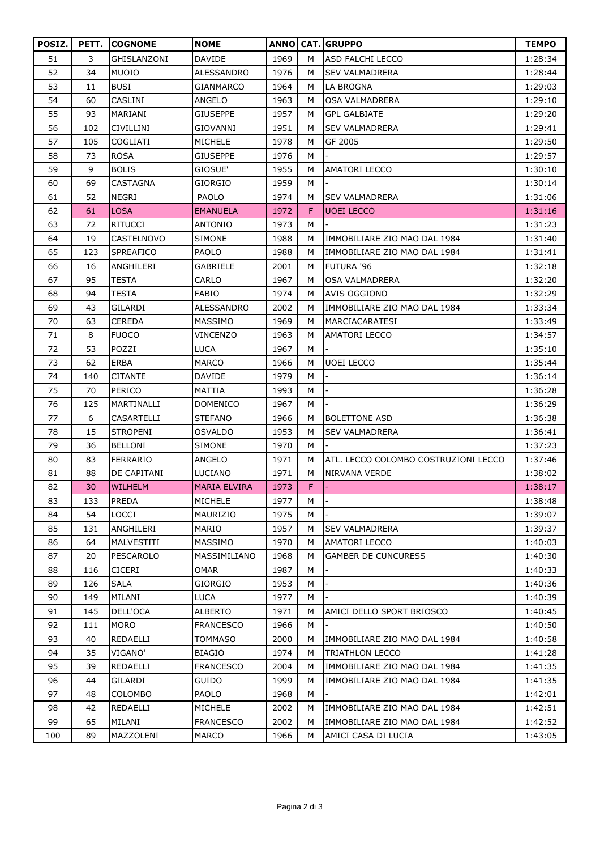| POSIZ. | PETT. | <b>COGNOME</b>  | <b>NOME</b>         |      |    | <b>ANNO CAT. GRUPPO</b>              | <b>TEMPO</b> |
|--------|-------|-----------------|---------------------|------|----|--------------------------------------|--------------|
| 51     | 3     | GHISLANZONI     | <b>DAVIDE</b>       | 1969 | м  | <b>ASD FALCHI LECCO</b>              | 1:28:34      |
| 52     | 34    | <b>MUOIO</b>    | <b>ALESSANDRO</b>   | 1976 | м  | <b>SEV VALMADRERA</b>                | 1:28:44      |
| 53     | 11    | <b>BUSI</b>     | <b>GIANMARCO</b>    | 1964 | м  | LA BROGNA                            | 1:29:03      |
| 54     | 60    | <b>CASLINI</b>  | ANGELO              | 1963 | М  | OSA VALMADRERA                       | 1:29:10      |
| 55     | 93    | MARIANI         | <b>GIUSEPPE</b>     | 1957 | M  | <b>GPL GALBIATE</b>                  | 1:29:20      |
| 56     | 102   | CIVILLINI       | GIOVANNI            | 1951 | м  | <b>SEV VALMADRERA</b>                | 1:29:41      |
| 57     | 105   | <b>COGLIATI</b> | MICHELE             | 1978 | м  | GF 2005                              | 1:29:50      |
| 58     | 73    | <b>ROSA</b>     | <b>GIUSEPPE</b>     | 1976 | м  |                                      | 1:29:57      |
| 59     | 9     | <b>BOLIS</b>    | GIOSUE'             | 1955 | м  | AMATORI LECCO                        | 1:30:10      |
| 60     | 69    | CASTAGNA        | GIORGIO             | 1959 | м  |                                      | 1:30:14      |
| 61     | 52    | <b>NEGRI</b>    | PAOLO               | 1974 | м  | <b>SEV VALMADRERA</b>                | 1:31:06      |
| 62     | 61    | <b>LOSA</b>     | <b>EMANUELA</b>     | 1972 | F  | <b>UOEI LECCO</b>                    | 1:31:16      |
| 63     | 72    | RITUCCI         | <b>ANTONIO</b>      | 1973 | м  |                                      | 1:31:23      |
| 64     | 19    | CASTELNOVO      | <b>SIMONE</b>       | 1988 | м  | IMMOBILIARE ZIO MAO DAL 1984         | 1:31:40      |
| 65     | 123   | SPREAFICO       | <b>PAOLO</b>        | 1988 | м  | IMMOBILIARE ZIO MAO DAL 1984         | 1:31:41      |
| 66     | 16    | ANGHILERI       | GABRIELE            | 2001 | м  | FUTURA '96                           | 1:32:18      |
| 67     | 95    | <b>TESTA</b>    | CARLO               | 1967 | м  | OSA VALMADRERA                       | 1:32:20      |
| 68     | 94    | <b>TESTA</b>    | FABIO               | 1974 | м  | AVIS OGGIONO                         | 1:32:29      |
| 69     | 43    | GILARDI         | <b>ALESSANDRO</b>   | 2002 | М  | IMMOBILIARE ZIO MAO DAL 1984         | 1:33:34      |
| 70     | 63    | <b>CEREDA</b>   | MASSIMO             | 1969 | м  | <b>MARCIACARATESI</b>                | 1:33:49      |
| 71     | 8     | <b>FUOCO</b>    | VINCENZO            | 1963 | м  | AMATORI LECCO                        | 1:34:57      |
| 72     | 53    | POZZI           | LUCA                | 1967 | м  |                                      | 1:35:10      |
| 73     | 62    | ERBA            | <b>MARCO</b>        | 1966 | M  | <b>UOEI LECCO</b>                    | 1:35:44      |
| 74     | 140   | CITANTE         | DAVIDE              | 1979 | м  |                                      | 1:36:14      |
| 75     | 70    | PERICO          | MATTIA              | 1993 | м  |                                      | 1:36:28      |
| 76     | 125   | MARTINALLI      | <b>DOMENICO</b>     | 1967 | м  |                                      | 1:36:29      |
| 77     | 6     | CASARTELLI      | <b>STEFANO</b>      | 1966 | м  | <b>BOLETTONE ASD</b>                 | 1:36:38      |
| 78     | 15    | <b>STROPENI</b> | <b>OSVALDO</b>      | 1953 | м  | <b>SEV VALMADRERA</b>                | 1:36:41      |
| 79     | 36    | <b>BELLONI</b>  | <b>SIMONE</b>       | 1970 | м  |                                      | 1:37:23      |
| 80     | 83    | FERRARIO        | ANGELO              | 1971 | M  | ATL. LECCO COLOMBO COSTRUZIONI LECCO | 1:37:46      |
| 81     | 88    | DE CAPITANI     | LUCIANO             | 1971 | м  | NIRVANA VERDE                        | 1:38:02      |
| 82     | 30    | <b>WILHELM</b>  | <b>MARIA ELVIRA</b> | 1973 | F. |                                      | 1:38:17      |
| 83     | 133   | PREDA           | MICHELE             | 1977 | м  |                                      | 1:38:48      |
| 84     | 54    | LOCCI           | MAURIZIO            | 1975 | м  |                                      | 1:39:07      |
| 85     | 131   | ANGHILERI       | MARIO               | 1957 | м  | <b>SEV VALMADRERA</b>                | 1:39:37      |
| 86     | 64    | MALVESTITI      | MASSIMO             | 1970 | м  | AMATORI LECCO                        | 1:40:03      |
| 87     | 20    | PESCAROLO       | MASSIMILIANO        | 1968 | М  | GAMBER DE CUNCURESS                  | 1:40:30      |
| 88     | 116   | <b>CICERI</b>   | OMAR                | 1987 | м  |                                      | 1:40:33      |
| 89     | 126   | <b>SALA</b>     | <b>GIORGIO</b>      | 1953 | м  |                                      | 1:40:36      |
| 90     | 149   | MILANI          | LUCA                | 1977 | м  |                                      | 1:40:39      |
| 91     | 145   | DELL'OCA        | ALBERTO             | 1971 | М  | AMICI DELLO SPORT BRIOSCO            | 1:40:45      |
| 92     | 111   | <b>MORO</b>     | <b>FRANCESCO</b>    | 1966 | м  |                                      | 1:40:50      |
| 93     | 40    | REDAELLI        | <b>TOMMASO</b>      | 2000 | М  | IMMOBILIARE ZIO MAO DAL 1984         | 1:40:58      |
| 94     | 35    | VIGANO'         | <b>BIAGIO</b>       | 1974 | м  | TRIATHLON LECCO                      | 1:41:28      |
| 95     | 39    | REDAELLI        | <b>FRANCESCO</b>    | 2004 | м  | IMMOBILIARE ZIO MAO DAL 1984         | 1:41:35      |
| 96     | 44    | GILARDI         | <b>GUIDO</b>        | 1999 | M  | IMMOBILIARE ZIO MAO DAL 1984         | 1:41:35      |
| 97     | 48    | <b>COLOMBO</b>  | PAOLO               | 1968 | м  |                                      | 1:42:01      |
| 98     | 42    | REDAELLI        | <b>MICHELE</b>      | 2002 | м  | IMMOBILIARE ZIO MAO DAL 1984         | 1:42:51      |
| 99     | 65    | MILANI          | <b>FRANCESCO</b>    | 2002 | м  | IMMOBILIARE ZIO MAO DAL 1984         | 1:42:52      |
|        |       |                 |                     |      |    |                                      |              |
| 100    | 89    | MAZZOLENI       | <b>MARCO</b>        | 1966 | м  | AMICI CASA DI LUCIA                  | 1:43:05      |